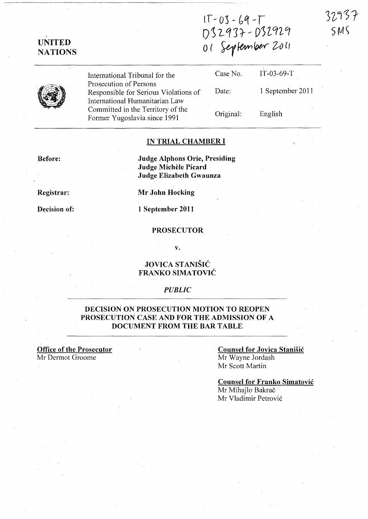$17 - 03 - 69 - T$  $D 12977 - D 32929$  $r$  2011

UNITED **NATIONS** 

| (ノンレ ( ) ブ ′ レ、 |
|-----------------|
| 01 September    |

Case No.

Date:

International Tribunal for the Prosecution of Persons Responsible for Serious Violations of International Humanitarian Law Committed in the Territory of the Former Yugoslavia since 1991

1 September 2011

IT-03-69-T

Original:

English

### IN TRIAL CHAMBER I

Before:

Judge Alphons Orie, Presiding Judge Michele Picard Judge Elizabeth Gwaunza

Registrar:

Decision of:

Mr John Hocking

1 September 2011

### PROSECUTOR

v.

### JOVICA STANISIC FRANKO SIMATOVIC

#### *PUBLIC*

### DECISION ON PROSECUTION MOTION TO REOPEN PROSECUTION CASE AND FOR THE ADMISSION OF A DOCUMENT FROM THE BAR TABLE

### Office of the Prosecutor Mr Dermot Groome

### Counsel for Jovica Stanisic Mr Wayne lordash Mr Scott Martin

### Counsel for Franko Simatovic Mr Mihajlo Bakrač Mr Vladimir Petrovi6

32937  $SMS$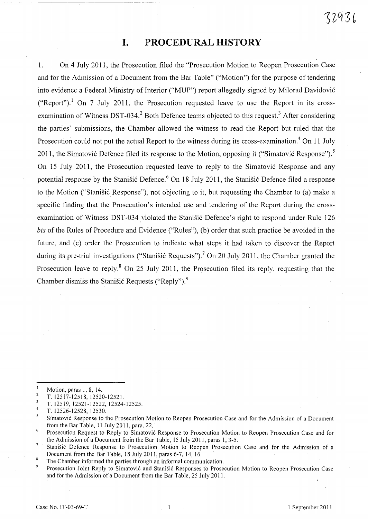# **I. PROCEDURAL HISTORY**

~--- ~~----- -~--

1. On 4 July **2011,** the Prosecution filed the "Prosecution Motion to Reopen Prosecution Case and for the Admission of a Document from the Bar Table" ("Motion") for the purpose of tendering into evidence a Federal Ministry of Interior ("MUP") report allegedly signed by Milorad Davidovi6 ("Report").<sup>1</sup> On 7 July 2011, the Prosecution requested leave to use the Report in its crossexamination of Witness DST-034.<sup>2</sup> Both Defence teams objected to this request.<sup>3</sup> After considering the parties' submissions, the Chamber allowed the witness to read the Report but ruled that the Prosecution could not put the actual Report to the witness during its cross-examination.<sup>4</sup> On 11 July 2011, the Simatović Defence filed its response to the Motion, opposing it ("Simatović Response").<sup>5</sup> On 15 July 2011, the Prosecution requested leave to reply to the Simatović Response and any potential response by the Stanišić Defence.<sup>6</sup> On 18 July 2011, the Stanišić Defence filed a response to the Motion ("Stanišić Response"), not objecting to it, but requesting the Chamber to (a) make a specific finding that the Prosecution's intended use and tendering of the Report during the crossexamination of Witness DST-034 violated the Stanišić Defence's right to respond under Rule 126 *bis* of the Rules of Procedure and Evidence ("Rules"), (b) order that such practice be avoided in the future, and (c) order the Prosecution to indicate what steps it had taken to discover the Report during its pre-trial investigations ("Stanišić Requests").<sup>7</sup> On 20 July 2011, the Chamber granted the Prosecution leave to reply. $8$  On 25 July 2011, the Prosecution filed its reply, requesting that the Chamber dismiss the Stanisic Requests ("Reply"). $9$ 

Motion, paras I, 8, 14.  $\overline{2}$ 

T. 12517-12518, 12520-1252l.  $\overline{\mathbf{3}}$ 

<sup>4</sup>  T. 12519,12521-12522,12524-12525.

T. 12526-12528, 12530.

<sup>5</sup> Simatovi6 Response to the Prosecution Motion to Reopen Prosecution Case and for the Admission of a Document from the Bar Table,  $11$  July 2011, para. 22.

 $\boldsymbol{6}$ Prosecution Request to Reply to Simatović Response to Prosecution Motion to Reopen Prosecution Case and for the Admission of a Document from the Bar Table, 15 July 2011, paras 1, 3-5.

 $\overline{7}$ Stanišić Defence Response to Prosecution Motion to Reopen Prosecution Case and for the Admission of a Document from the Bar Table, 18 July 2011, paras 6-7,14,16.

<sup>8</sup> The Chamber informed the parties through an informal communication.

Prosecution Joint Reply to Simatović and Stanišić Responses to Prosecution Motion to Reopen Prosecution Case and for the Admission of a Document from the Bar Table, 25 July 2011.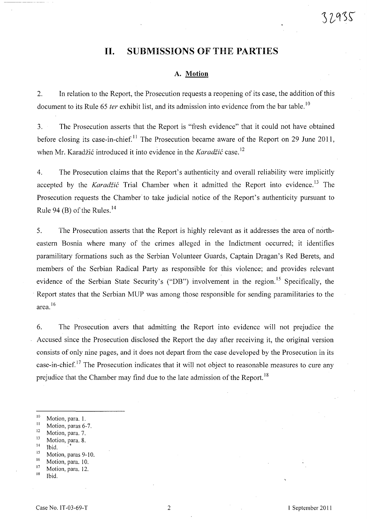# **11. SUBMISSIONS OF** THE **PARTIES**

### **A. Motion**

2. In relation to the Report, the Prosecution requests a reopening of its case, the addition of this document to its Rule 65 *ter* exhibit list, and its admission into evidence from the bar table.<sup>10</sup>

3. The Prosecution asserts that the Report is "fresh evidence" that it could not have obtained before closing its case-in-chief.<sup>11</sup> The Prosecution became aware of the Report on 29 June 2011, when Mr. Karadžić introduced it into evidence in the *Karadžić* case.<sup>12</sup>

4. The Prosecution claims that the Report's authenticity and overall reliability were implicitly accepted by the *Karadžić* Trial Chamber when it admitted the Report into evidence.<sup>13</sup> The Prosecution requests the Chamber to take judicial notice of the Report's authenticity pursuant to Rule 94 (B) of the Rules. $^{14}$ 

5. The Prosecution asserts that the Report is highly relevant as it addresses the area of northeastern Bosnia where many of the crimes alleged in the Indictment occurred; it identifies paramilitary formations such as the Serbian Volunteer Guards, Captain Dragan's Red Berets, and members of the Serbian Radical Party as responsible for this violence; and provides relevant evidence of the Serbian State Security's ("DB") involvement in the region.<sup>15</sup> Specifically, the . Report states that the Serbian MUP was among those responsible for sending paramilitaries to the area. <sup>16</sup>

6. The Prosecution avers that admitting the Report into evidence will not prejudice the Accused since the Prosecution disclosed the Report the day after receiving it, the original version consists of only nine pages, and it does not depart from the case developed by the Prosecution in its case-in-chief. 17 The Prosecution indicates that it will not object to reasonable measures to cure any prejudice that the Chamber may find due to the late admission of the Report.<sup>18</sup>

- $\frac{10}{11}$  Motion, para. 1.
- $\frac{11}{12}$  Motion, paras 6-7.
- $^{12}$  Motion, para. 7.
- $\frac{13}{14}$  Motion, para. 8.
- Ibid.
- $^{15}$  Motion, paras 9-10.
- $\frac{16}{17}$  Motion, para. 10.
- $\frac{17}{18}$  Motion, para. 12.
- Ibid.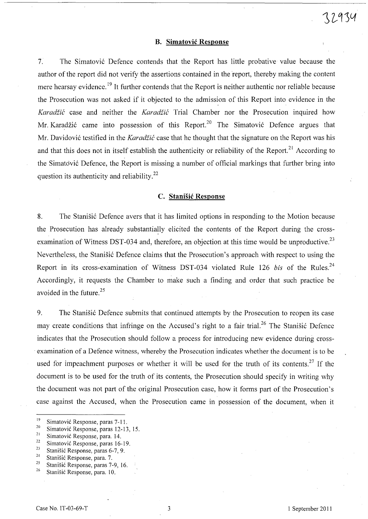#### **B. Simatovic Response**

7. The Simatovi6 Defence contends that the Report has little probative value because the author of the report did not verify the assertions contained in the report, thereby making the content mere hearsay evidence.<sup>19</sup> It further contends that the Report is neither authentic nor reliable because the Prosecution was not asked if it objected to the admission of this Report into evidence in the *Karadžić* case and neither the *Karadžić* Trial Chamber nor the Prosecution inquired how Mr. Karadžić came into possession of this Report.<sup>20</sup> The Simatović Defence argues that Mr. Davidović testified in the *Karadžić* case that he thought that the signature on the Report was his and that this does not in itself establish the authenticity or reliability of the Report.<sup>21</sup> According to the Simatović Defence, the Report is missing a number of official markings that further bring into question its authenticity and reliability.<sup>22</sup>

### **C. StaniSic Response**

8. The Stanisic Defence avers that it has limited options in responding to the Motion because the Prosecution has already substantially elicited the contents of the Report during the crossexamination of Witness DST-034 and, therefore, an objection at this time would be unproductive.<sup>23</sup> Nevertheless, the Stanisić Defence claims that the Prosecution's approach with respect to using the Report in its cross-examination of Witness DST-034 violated Rule 126 *bis* of the Rules.<sup>24</sup> Accordingly, it requests the Chamber to make such a finding and order that such practice be avoided in the future. 25

9. The Stanisic Defence submits that continued attempts by the Prosecution to reopen its case may create conditions that infringe on the Accused's right to a fair trial.<sup>26</sup> The Stanisic Defence indicates that the Prosecution should follow a process for introducing new evidence during cross- . examination of a Defence witness, whereby the Prosecution indicates whether the document is to be used for impeachment purposes or whether it will be used for the truth of its contents.<sup>27</sup> If the document is to be used for the truth of its contents, the Prosecution should specify in writing why the document was not part of the original Prosecution case, how it forms part of the Prosecution's case against the Accused, when the Prosecution came in possession of the document, when it

- <sup>22</sup> Simatović Response, paras 16-19.
- <sup>23</sup> Stanišić Response, paras 6-7, 9.<br><sup>24</sup> Stanišić Barnama nama 7.
- <sup>24</sup> Stanišić Response, para. 7.<br><sup>25</sup> Stanišić Response, paras 7.
- <sup>25</sup> Stanišić Response, paras 7-9, 16.<br><sup>26</sup> Stanišić Besponse, para 10.
- Stanišić Response, para. 10.

<sup>&</sup>lt;sup>19</sup> Simatović Response, paras 7-11.<br> $\frac{20}{2}$  Simatović Bernama, paras 12.12

<sup>&</sup>lt;sup>20</sup> Simatović Response, paras 12-13, 15.

<sup>&</sup>lt;sup>21</sup> Simatović Response, para. 14.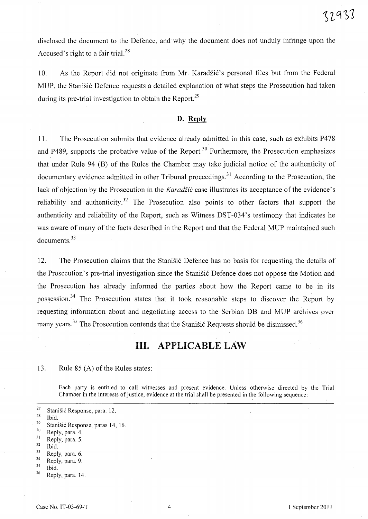disclosed the document to the Defence, and why the document does not unduly infringe upon the Accused's right to a fair trial.<sup>28</sup>

10. As the Report did not originate from Mr. Karadžić's personal files but from the Federal MUP, the Stanišić Defence requests a detailed explanation of what steps the Prosecution had taken during its pre-trial investigation to obtain the Report.<sup>29</sup>

### **D. Reply**

11. The Prosecution submits that evidence already admitted in this case, such as exhibits P478 and P489, supports the probative value of the Report.<sup>30</sup> Furthermore, the Prosecution emphasizes that under Rule 94 CB) of the Rules the Chamber may take judicial notice of the authenticity of documentary evidence admitted in other Tribunal proceedings.<sup>31</sup> According to the Prosecution, the lack of objection by the Prosecution in the *Karadžić* case illustrates its acceptance of the evidence's reliability and authenticity.<sup>32</sup> The Prosecution also points to other factors that support the authenticity and reliability of the Report, such as Witness DST-034's testimony that indicates he was aware of many of the facts described in the Report and that the Federal MUP maintained such documents. <sup>33</sup>

12. The Prosecution claims that the Stanistic Defence has no basis for requesting the details of the Prosecution's pre-trial investigation since the Stanistic Defence does not oppose the Motion and the Prosecution has already informed the parties about how the Report came to be in its possession.<sup>34</sup> The Prosecution states that it took reasonable steps to discover the Report by requesting information about and negotiating access to the Serbian DB and MUP archives over many years.<sup>35</sup> The Prosecution contends that the Stanišić Requests should be dismissed.<sup>36</sup>

# **Ill. APPLICABLE LAW**

13. Rule  $85(A)$  of the Rules states:

Each party is entitled to call witnesses and present evidence. Unless otherwise directed by the Trial Chamber in the interests of justice, evidence at the trial shall be presented in the following sequence:

- <sup>27</sup> Stanišić Response, para. 12.
- Ibid.

- $rac{30}{31}$  Reply, para. 4.
- $rac{31}{32}$  Reply, para. 5.
- $rac{32}{33}$  Ibid.
- $\frac{33}{34}$  Reply, para. 6.
- Reply, para. 9.
- $35$  Ibid.
- $36$  Reply, para. 14.

<sup>&</sup>lt;sup>29</sup> Stanišić Response, paras 14, 16.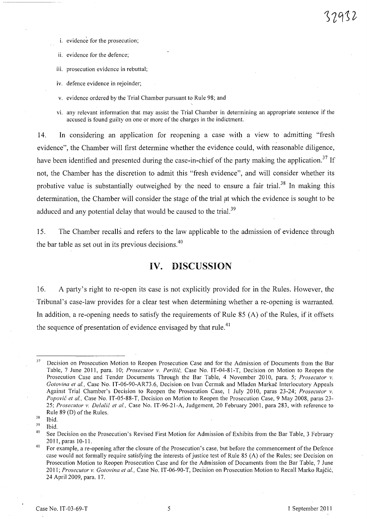- i. evidence for the prosecution;
- ii. evidence for the defence;
- iii. prosecution evidence in rebuttal;

iv. defence evidence in rejoinder;

- v. evidence ordered by the Trial Chamber pursuant to Rule 98; and
- VI. any relevant information that may assist the Trial Chamber in detennining an appropriate sentence if the accused is found guilty on one or more of the charges in the indictment.

14. In considering an application for reopening a case with a view to admitting "fresh evidence", the Chamber will first determine whether the evidence could, with reasonable diligence, have been identified and presented during the case-in-chief of the party making the application.<sup>37</sup> If not, the Chamber has the discretion to admit this "fresh evidence", and will consider whether its probative value is substantially outweighed by the need to ensure a fair trial.<sup>38</sup> In making this determination, the Chamber will consider the stage of the trial at which the evidence is sought to be adduced and any potential delay that would be caused to the trial.<sup>39</sup>

15. The Chamber recalls and refers to the law applicable to the admission of evidence through the bar table as set out in its previous decisions. $40$ 

## **IV. DISCUSSION**

16. A party's right to re-open its case is not explicitly provided for in the Rules. However, the Tribunal's case-law provides for a clear test when determining whether a re-opening is warranted. In addition, a re-opening needs to satisfy the requirements of Rule 85 (A) of the Rules, if it offsets the sequence of presentation of evidence envisaged by that rule.<sup>41</sup>

<sup>&</sup>lt;sup>37</sup> Decision on Prosecution Motion to Reopen Prosecution Case and for the Admission of Documents from the Bar Table, 7 June 2011, para. 10; *Prosecutor v. Per;si6,* Case No. IT-04-81-T, Decision on Motion to Reopen the Prosecution Case and Tender Documents Through the Bar Table, 4 November 2010, para. 5; *Prosecutor v. Gotovina et aI.,* Case No. IT-06-90-AR73.6, Decision on Ivan Cermak and Mladen Markac Interlocutory Appeals Against Trial Chamber's Decision to Reopen the Prosecution Case, 1 July 2010, paras 23-24; *Prosecutor v. Popović et al., Case No. IT-05-88-T, Decision on Motion to Reopen the Prosecution Case, 9 May 2008, paras 23-*25; *Prosecutor v. Dela/i6 et aI.,* Case No. IT-96-21-A, Judgement, 20 February 2001, para 283, with reference to Rule 89 (D) of the Rules.

<sup>38</sup>  Ibid.

<sup>39</sup> Ibid.

<sup>&</sup>lt;sup>40</sup> See Decision on the Prosecution's Revised First Motion for Admission of Exhibits from the Bar Table, 3 February 2011, paras 10-11.

<sup>&</sup>lt;sup>41</sup> For example, a re-opening after the closure of the Prosecution's case, but before the commencement of the Defence case would not formally require satisfying the interests of justice test of Rule 85 (A) of the Rules; see Decision on Prosecution Motion to Reopen Prosecution Case and for the Admission of Documents from the Bar Table, 7 June *2011; Prosecutor v. Gotovina et aI.,* Case No. IT-06-90-T, Decision on Prosecution Motion to Recall Marko Rajcic, 24 April 2009, para. 17.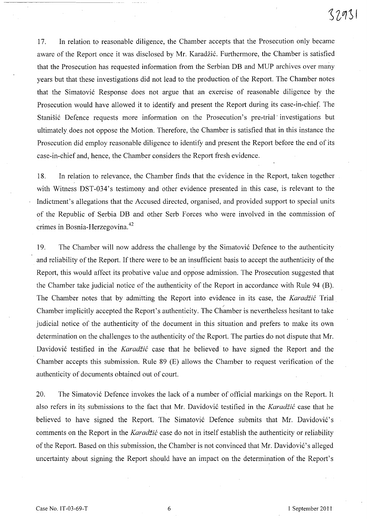17. In relation to reasonable diligence, the Chamber accepts that the Prosecution only became aware of the Report once it was disclosed by Mr. Karadžić. Furthermore, the Chamber is satisfied that the Prosecution has requested information from the Serbian DB and MUP archives over many years but that these investigations did not lead to the production of the Report. The Chamber notes that the Simatović Response does not argue that an exercise of reasonable diligence by the Prosecution would have allowed it to identify and present the Report during its case-in-chief. The Stanišić Defence requests more information on the Prosecution's pre-trial investigations but ultimately does not oppose the Motion. Therefore, the Chamber is satisfied that in this instance the Prosecution did employ reasonable diligence to identify and present the Report before the end of its case-in-chief and, hence, the Chamber considers the Report fresh evidence.

18. In relation to relevance, the Chamber finds that the evidence in the Report, taken together with Witness DST-034's testimony and other evidence presented in this case, is relevant to the Indictment's allegations that the Accused directed, organised, and provided support to special units of the Republic of Serbia DB and other Serb Forces who were involved in the commission of crimes in Bosnia-Herzegovina. <sup>42</sup>

19. The Chamber will now address the challenge by the Simatović Defence to the authenticity and reliability of the Report. If there were to be an insufficient basis to accept the authenticity of the Report, this would affect its probative value and oppose admission. The Prosecution suggested that the Chamber take judicial notice of the authenticity of the Report in accordance with Rule 94 (B). The Chamber notes that by admitting the Report into evidence in its case, the *Karadžić* Trial Chamber implicitly accepted the Report's authenticity. The Chamber is nevertheless hesitant to take judicial notice of the authenticity of the document in this situation and prefers to make its own determination on the challenges to the authenticity of the Report. The parties do not dispute that Mr. Davidović testified in the *Karadžić* case that he believed to have signed the Report and the Chamber accepts this submission. Rule 89 (E) allows the Chamber to request verification of the authenticity of documents obtained out of court.

20. The Simatović Defence invokes the lack of a number of official markings on the Report. It also refers in its submissions to the fact that Mr. Davidović testified in the *Karadžić* case that he believed to have signed the Report. The Simatović Defence submits that Mr. Davidović's comments on the Report in the *Karadžić* case do not in itself establish the authenticity or reliability of the Report. Based on this submission, the Chamber is not convinced that Mr. Davidović's alleged uncertainty about signing the Report should have an impact on the determination of the Report's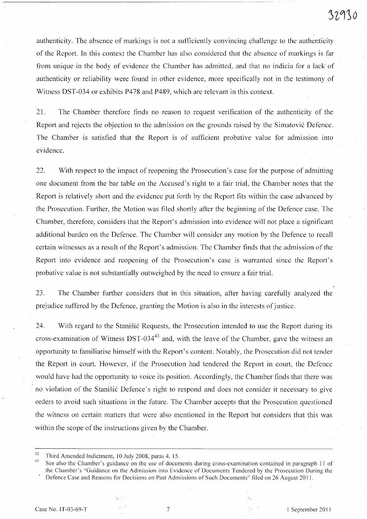authenticity. The absence of markings is not a sufficiently convincing challenge to the authenticity of the Report. In this context the Chamber has also considered that the absence of markings is far from unique in the body of evidence the Chamber has admitted, and that no indicia for a lack of authenticity or reliability were found in other evidence, more specifically not in the testimony of Witness DST-034 or exhibits P478 and P489, which are relevant in this context.

------------------------------- ~-- ---------

21. The Chamber therefore finds no reason to request verification of the authenticity of the Report and rejects the objection to the admission on the grounds raised by the Simatović Defence. The Chamber is satisfied that the Report is of sufficient probative value for admission into evidence.

22. With respect to the impact of reopening the Prosecution's case for the purpose of admitting one document from the bar table on the Accused's right to a fair trial, the Chamber notes that the Report is relatively short and the evidence put forth by the Report fits within the case advanced by the Prosecution. Further, the Motion was filed shortly after the beginning of the Defence case. The Chamber, therefore, considers that the Report's admission into evidence will not place a significant additional burden on the Defence. The Chamber will consider any motion by the Defence to recall certain witnesses as a result of the Report's admission. The Chamber finds that the admission of the Report into evidence and reopening of the Prosecution's case is warranted since the Report's probative value is not substantially outweighed by the need to ensure a fair trial.

23. The Chamber further considers that in this situation, after having carefully analyzed the prejudice suffered by the Defence, granting the Motion is also in the interests of justice.

24. With regard to the Stanistic Requests, the Prosecution intended to use the Report during its cross-examination of Witness DST-03443 and, with the leave of the Chamber, gave the witness an opportunity to familiarise himself with the Report's content. Notably, the Prosecution did not tender the Report in court. However, if the Prosecution had tendered the Report in court, the Defence would have had the opportunity to voice its position. Accordingly, the Chamber finds that there was no violation of the Stanišić Defence's right to respond and does not consider it necessary to give orders to avoid such situations in the future. The Chamber accepts that the Prosecution questioned the witness on certain matters that were also mentioned in the Report but considers that this was within the scope of the instructions given by the Chamber.

<sup>42</sup> Third Amended Indictment, 10 July 2008, paras 4, 15.<br><sup>43</sup> See also the Chamber's guidance on the use of documents during cross-examination contained in paragraph 11 of the Chamber's "Guidance on the Admission into Evidence of Documents Tendered by the Prosecution During the Defence Case and Reasons for Decisions on Past Admissions of Such Documents" filed on 26 August 2011.